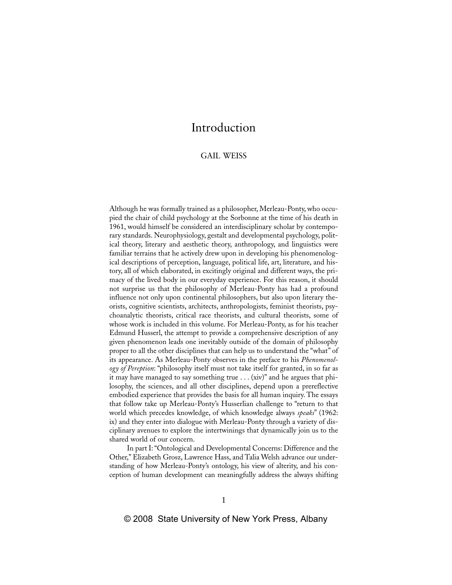## GAIL WEISS

Although he was formally trained as a philosopher, Merleau-Ponty, who occupied the chair of child psychology at the Sorbonne at the time of his death in 1961, would himself be considered an interdisciplinary scholar by contemporary standards. Neurophysiology, gestalt and developmental psychology, political theory, literary and aesthetic theory, anthropology, and linguistics were familiar terrains that he actively drew upon in developing his phenomenological descriptions of perception, language, political life, art, literature, and history, all of which elaborated, in excitingly original and different ways, the primacy of the lived body in our everyday experience. For this reason, it should not surprise us that the philosophy of Merleau-Ponty has had a profound influence not only upon continental philosophers, but also upon literary theorists, cognitive scientists, architects, anthropologists, feminist theorists, psychoanalytic theorists, critical race theorists, and cultural theorists, some of whose work is included in this volume. For Merleau-Ponty, as for his teacher Edmund Husserl, the attempt to provide a comprehensive description of any given phenomenon leads one inevitably outside of the domain of philosophy proper to all the other disciplines that can help us to understand the "what" of its appearance. As Merleau-Ponty observes in the preface to his *Phenomenology of Pereption*: "philosophy itself must not take itself for granted, in so far as it may have managed to say something true . . . (xiv)" and he argues that philosophy, the sciences, and all other disciplines, depend upon a prereflective embodied experience that provides the basis for all human inquiry. The essays that follow take up Merleau-Ponty's Husserlian challenge to "return to that world which precedes knowledge, of which knowledge always *speaks*" (1962: ix) and they enter into dialogue with Merleau-Ponty through a variety of disciplinary avenues to explore the intertwinings that dynamically join us to the shared world of our concern.

In part I: "Ontological and Developmental Concerns: Difference and the Other," Elizabeth Grosz, Lawrence Hass, and Talia Welsh advance our understanding of how Merleau-Ponty's ontology, his view of alterity, and his conception of human development can meaningfully address the always shifting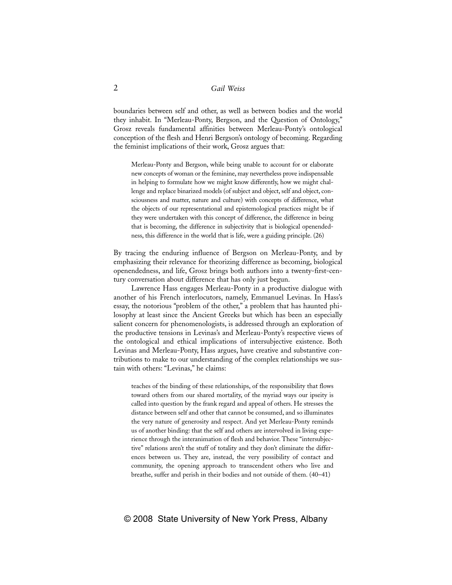#### 2 *Gail Weiss*

boundaries between self and other, as well as between bodies and the world they inhabit. In "Merleau-Ponty, Bergson, and the Question of Ontology," Grosz reveals fundamental affinities between Merleau-Ponty's ontological conception of the flesh and Henri Bergson's ontology of becoming. Regarding the feminist implications of their work, Grosz argues that:

Merleau-Ponty and Bergson, while being unable to account for or elaborate new concepts of woman or the feminine, may nevertheless prove indispensable in helping to formulate how we might know differently, how we might challenge and replace binarized models (of subject and object, self and object, consciousness and matter, nature and culture) with concepts of difference, what the objects of our representational and epistemological practices might be if they were undertaken with this concept of difference, the difference in being that is becoming, the difference in subjectivity that is biological openendedness, this difference in the world that is life, were a guiding principle. (26)

By tracing the enduring influence of Bergson on Merleau-Ponty, and by emphasizing their relevance for theorizing difference as becoming, biological openendedness, and life, Grosz brings both authors into a twenty-first-century conversation about difference that has only just begun.

Lawrence Hass engages Merleau-Ponty in a productive dialogue with another of his French interlocutors, namely, Emmanuel Levinas. In Hass's essay, the notorious "problem of the other," a problem that has haunted philosophy at least since the Ancient Greeks but which has been an especially salient concern for phenomenologists, is addressed through an exploration of the productive tensions in Levinas's and Merleau-Ponty's respective views of the ontological and ethical implications of intersubjective existence. Both Levinas and Merleau-Ponty, Hass argues, have creative and substantive contributions to make to our understanding of the complex relationships we sustain with others: "Levinas," he claims:

teaches of the binding of these relationships, of the responsibility that flows toward others from our shared mortality, of the myriad ways our ipseity is called into question by the frank regard and appeal of others. He stresses the distance between self and other that cannot be consumed, and so illuminates the very nature of generosity and respect. And yet Merleau-Ponty reminds us of another binding: that the self and others are intervolved in living experience through the interanimation of flesh and behavior. These "intersubjective" relations aren't the stuff of totality and they don't eliminate the differences between us. They are, instead, the very possibility of contact and community, the opening approach to transcendent others who live and breathe, suffer and perish in their bodies and not outside of them. (40–41)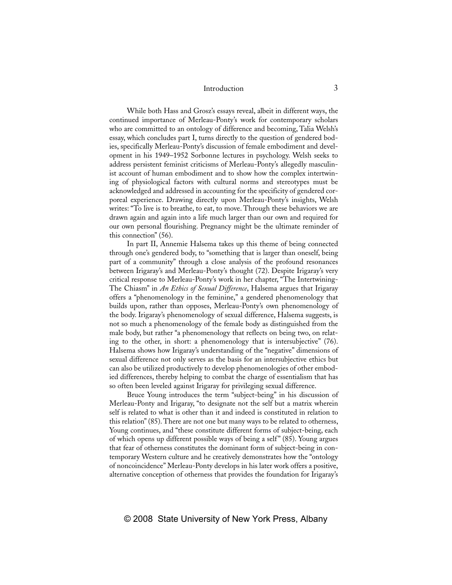While both Hass and Grosz's essays reveal, albeit in different ways, the continued importance of Merleau-Ponty's work for contemporary scholars who are committed to an ontology of difference and becoming, Talia Welsh's essay, which concludes part I, turns directly to the question of gendered bodies, specifically Merleau-Ponty's discussion of female embodiment and development in his 1949–1952 Sorbonne lectures in psychology. Welsh seeks to address persistent feminist criticisms of Merleau-Ponty's allegedly masculinist account of human embodiment and to show how the complex intertwining of physiological factors with cultural norms and stereotypes must be acknowledged and addressed in accounting for the specificity of gendered corporeal experience. Drawing directly upon Merleau-Ponty's insights, Welsh writes: "To live is to breathe, to eat, to move. Through these behaviors we are drawn again and again into a life much larger than our own and required for our own personal flourishing. Pregnancy might be the ultimate reminder of this connection" (56).

In part II, Annemie Halsema takes up this theme of being connected through one's gendered body, to "something that is larger than oneself, being part of a community" through a close analysis of the profound resonances between Irigaray's and Merleau-Ponty's thought (72). Despite Irigaray's very critical response to Merleau-Ponty's work in her chapter, "The Intertwining-The Chiasm" in *An Ethics of Sexual Difference*, Halsema argues that Irigaray offers a "phenomenology in the feminine," a gendered phenomenology that builds upon, rather than opposes, Merleau-Ponty's own phenomenology of the body. Irigaray's phenomenology of sexual difference, Halsema suggests, is not so much a phenomenology of the female body as distinguished from the male body, but rather "a phenomenology that reflects on being two, on relating to the other, in short: a phenomenology that is intersubjective" (76). Halsema shows how Irigaray's understanding of the "negative" dimensions of sexual difference not only serves as the basis for an intersubjective ethics but can also be utilized productively to develop phenomenologies of other embodied differences, thereby helping to combat the charge of essentialism that has so often been leveled against Irigaray for privileging sexual difference.

Bruce Young introduces the term "subject-being" in his discussion of Merleau-Ponty and Irigaray, "to designate not the self but a matrix wherein self is related to what is other than it and indeed is constituted in relation to this relation" (85). There are not one but many ways to be related to otherness, Young continues, and "these constitute different forms of subject-being, each of which opens up different possible ways of being a self " (85). Young argues that fear of otherness constitutes the dominant form of subject-being in contemporary Western culture and he creatively demonstrates how the "ontology of noncoincidence" Merleau-Ponty develops in his later work offers a positive, alternative conception of otherness that provides the foundation for Irigaray's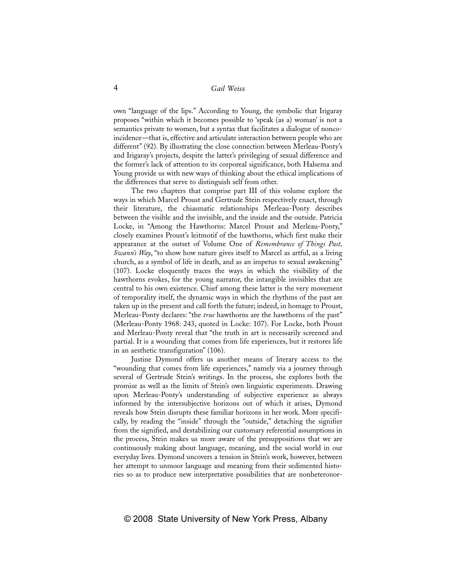#### 4 *Gail Weiss*

own "language of the lips." According to Young, the symbolic that Irigaray proposes "within which it becomes possible to 'speak (as a) woman' is not a semantics private to women, but a syntax that facilitates a dialogue of noncoincidence—that is, effective and articulate interaction between people who are different" (92). By illustrating the close connection between Merleau-Ponty's and Irigaray's projects, despite the latter's privileging of sexual difference and the former's lack of attention to its corporeal significance, both Halsema and Young provide us with new ways of thinking about the ethical implications of the differences that serve to distinguish self from other.

The two chapters that comprise part III of this volume explore the ways in which Marcel Proust and Gertrude Stein respectively enact, through their literature, the chiasmatic relationships Merleau-Ponty describes between the visible and the invisible, and the inside and the outside. Patricia Locke, in "Among the Hawthorns: Marcel Proust and Merleau-Ponty," closely examines Proust's leitmotif of the hawthorns, which first make their appearance at the outset of Volume One of *Remembrance of Things Past, Swann's Way*, "to show how nature gives itself to Marcel as artful, as a living church, as a symbol of life in death, and as an impetus to sexual awakening" (107). Locke eloquently traces the ways in which the visibility of the hawthorns evokes, for the young narrator, the intangible invisibles that are central to his own existence. Chief among these latter is the very movement of temporality itself, the dynamic ways in which the rhythms of the past are taken up in the present and call forth the future; indeed, in homage to Proust, Merleau-Ponty declares: "the *true* hawthorns are the hawthorns of the past" (Merleau-Ponty 1968: 243, quoted in Locke: 107). For Locke, both Proust and Merleau-Ponty reveal that "the truth in art is necessarily screened and partial. It is a wounding that comes from life experiences, but it restores life in an aesthetic transfiguration" (106).

Justine Dymond offers us another means of literary access to the "wounding that comes from life experiences," namely via a journey through several of Gertrude Stein's writings. In the process, she explores both the promise as well as the limits of Stein's own linguistic experiments. Drawing upon Merleau-Ponty's understanding of subjective experience as always informed by the intersubjective horizons out of which it arises, Dymond reveals how Stein disrupts these familiar horizons in her work. More specifically, by reading the "inside" through the "outside," detaching the signifier from the signified, and destabilizing our customary referential assumptions in the process, Stein makes us more aware of the presuppositions that we are continuously making about language, meaning, and the social world in our everyday lives. Dymond uncovers a tension in Stein's work, however, between her attempt to unmoor language and meaning from their sedimented histories so as to produce new interpretative possibilities that are nonheteronor-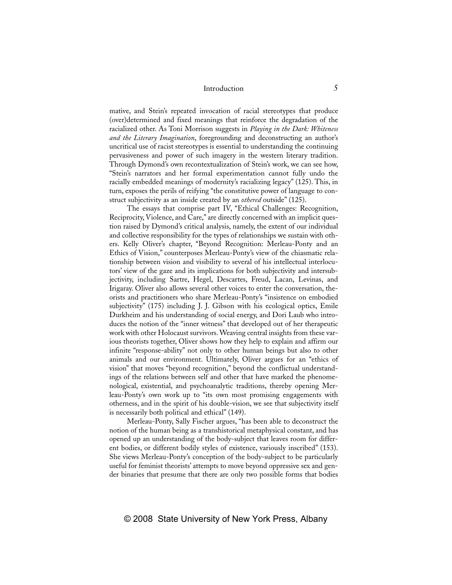mative, and Stein's repeated invocation of racial stereotypes that produce (over)determined and fixed meanings that reinforce the degradation of the racialized other. As Toni Morrison suggests in *Playing in the Dark: Whiteness and the Literary Imagination*, foregrounding and deconstructing an author's uncritical use of racist stereotypes is essential to understanding the continuing pervasiveness and power of such imagery in the western literary tradition. Through Dymond's own recontextualization of Stein's work, we can see how, "Stein's narrators and her formal experimentation cannot fully undo the racially embedded meanings of modernity's racializing legacy" (125). This, in turn, exposes the perils of reifying "the constitutive power of language to construct subjectivity as an inside created by an *othered* outside" (125).

The essays that comprise part IV, "Ethical Challenges: Recognition, Reciprocity, Violence, and Care," are directly concerned with an implicit question raised by Dymond's critical analysis, namely, the extent of our individual and collective responsibility for the types of relationships we sustain with others. Kelly Oliver's chapter, "Beyond Recognition: Merleau-Ponty and an Ethics of Vision," counterposes Merleau-Ponty's view of the chiasmatic relationship between vision and visibility to several of his intellectual interlocutors' view of the gaze and its implications for both subjectivity and intersubjectivity, including Sartre, Hegel, Descartes, Freud, Lacan, Levinas, and Irigaray. Oliver also allows several other voices to enter the conversation, theorists and practitioners who share Merleau-Ponty's "insistence on embodied subjectivity" (175) including J. J. Gibson with his ecological optics, Emile Durkheim and his understanding of social energy, and Dori Laub who introduces the notion of the "inner witness" that developed out of her therapeutic work with other Holocaust survivors. Weaving central insights from these various theorists together, Oliver shows how they help to explain and affirm our infinite "response-ability" not only to other human beings but also to other animals and our environment. Ultimately, Oliver argues for an "ethics of vision" that moves "beyond recognition," beyond the conflictual understandings of the relations between self and other that have marked the phenomenological, existential, and psychoanalytic traditions, thereby opening Merleau-Ponty's own work up to "its own most promising engagements with otherness, and in the spirit of his double-vision, we see that subjectivity itself is necessarily both political and ethical" (149).

Merleau-Ponty, Sally Fischer argues, "has been able to deconstruct the notion of the human being as a transhistorical metaphysical constant, and has opened up an understanding of the body-subject that leaves room for different bodies, or different bodily styles of existence, variously inscribed" (153). She views Merleau-Ponty's conception of the body-subject to be particularly useful for feminist theorists' attempts to move beyond oppressive sex and gender binaries that presume that there are only two possible forms that bodies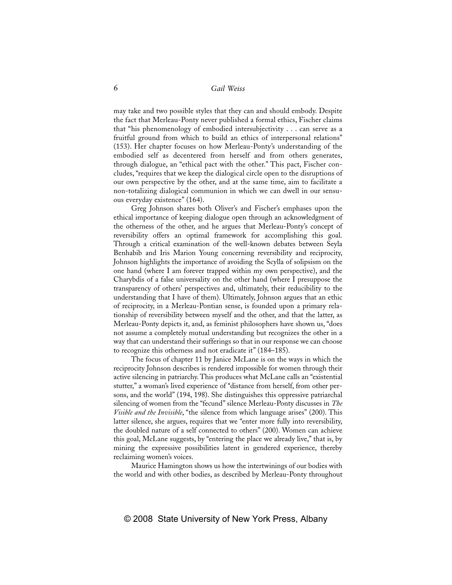may take and two possible styles that they can and should embody. Despite the fact that Merleau-Ponty never published a formal ethics, Fischer claims that "his phenomenology of embodied intersubjectivity . . . can serve as a fruitful ground from which to build an ethics of interpersonal relations" (153). Her chapter focuses on how Merleau-Ponty's understanding of the embodied self as decentered from herself and from others generates, through dialogue, an "ethical pact with the other." This pact, Fischer concludes, "requires that we keep the dialogical circle open to the disruptions of our own perspective by the other, and at the same time, aim to facilitate a non-totalizing dialogical communion in which we can dwell in our sensuous everyday existence" (164).

Greg Johnson shares both Oliver's and Fischer's emphases upon the ethical importance of keeping dialogue open through an acknowledgment of the otherness of the other, and he argues that Merleau-Ponty's concept of reversibility offers an optimal framework for accomplishing this goal. Through a critical examination of the well-known debates between Seyla Benhabib and Iris Marion Young concerning reversibility and reciprocity, Johnson highlights the importance of avoiding the Scylla of solipsism on the one hand (where I am forever trapped within my own perspective), and the Charybdis of a false universality on the other hand (where I presuppose the transparency of others' perspectives and, ultimately, their reducibility to the understanding that I have of them). Ultimately, Johnson argues that an ethic of reciprocity, in a Merleau-Pontian sense, is founded upon a primary relationship of reversibility between myself and the other, and that the latter, as Merleau-Ponty depicts it, and, as feminist philosophers have shown us, "does not assume a completely mutual understanding but recognizes the other in a way that can understand their sufferings so that in our response we can choose to recognize this otherness and not eradicate it" (184–185).

The focus of chapter 11 by Janice McLane is on the ways in which the reciprocity Johnson describes is rendered impossible for women through their active silencing in patriarchy. This produces what McLane calls an "existential stutter," a woman's lived experience of "distance from herself, from other persons, and the world" (194, 198). She distinguishes this oppressive patriarchal silencing of women from the "fecund" silence Merleau-Ponty discusses in *The Visible and the Invisible*, "the silence from which language arises" (200). This latter silence, she argues, requires that we "enter more fully into reversibility, the doubled nature of a self connected to others" (200). Women can achieve this goal, McLane suggests, by "entering the place we already live," that is, by mining the expressive possibilities latent in gendered experience, thereby reclaiming women's voices.

Maurice Hamington shows us how the intertwinings of our bodies with the world and with other bodies, as described by Merleau-Ponty throughout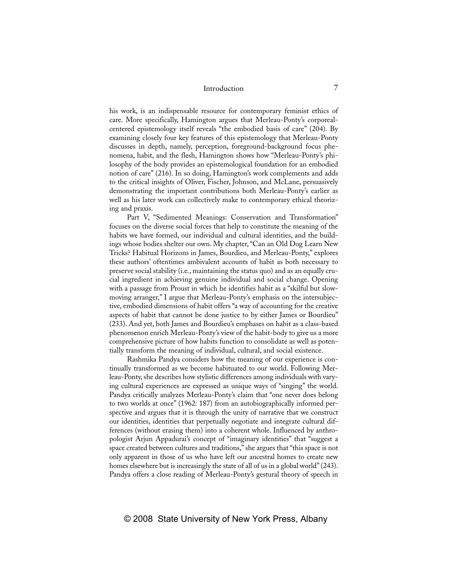his work, is an indispensable resource for contemporary feminist ethics of care. More specifically, Hamington argues that Merleau-Ponty's corporealcentered epistemology itself reveals "the embodied basis of care" (204). By examining closely four key features of this epistemology that Merleau-Ponty discusses in depth, namely, perception, foreground-background focus phenomena, habit, and the flesh, Hamington shows how "Merleau-Ponty's philosophy of the body provides an epistemological foundation for an embodied notion of care" (216). In so doing, Hamington's work complements and adds to the critical insights of Oliver, Fischer, Johnson, and McLane, persuasively demonstrating the important contributions both Merleau-Ponty's earlier as well as his later work can collectively make to contemporary ethical theorizing and praxis.

Part V, "Sedimented Meanings: Conservation and Transformation" focuses on the diverse social forces that help to constitute the meaning of the habits we have formed, our individual and cultural identities, and the buildings whose bodies shelter our own. My chapter, "Can an Old Dog Learn New Tricks? Habitual Horizons in James, Bourdieu, and Merleau-Ponty," explores these authors' oftentimes ambivalent accounts of habit as both necessary to preserve social stability (i.e., maintaining the status quo) and as an equally crucial ingredient in achieving genuine individual and social change. Opening with a passage from Proust in which he identifies habit as a "skilful but slowmoving arranger," I argue that Merleau-Ponty's emphasis on the intersubjective, embodied dimensions of habit offers "a way of accounting for the creative aspects of habit that cannot be done justice to by either James or Bourdieu" (233). And yet, both James and Bourdieu's emphases on habit as a class-based phenomenon enrich Merleau-Ponty's view of the habit-body to give us a more comprehensive picture of how habits function to consolidate as well as potentially transform the meaning of individual, cultural, and social existence.

Rashmika Pandya considers how the meaning of our experience is continually transformed as we become habituated to our world. Following Merleau-Ponty, she describes how stylistic differences among individuals with varying cultural experiences are expressed as unique ways of "singing" the world. Pandya critically analyzes Merleau-Ponty's claim that "one never does belong to two worlds at once" (1962: 187) from an autobiographically informed perspective and argues that it is through the unity of narrative that we construct our identities, identities that perpetually negotiate and integrate cultural differences (without erasing them) into a coherent whole. Influenced by anthropologist Arjun Appadurai's concept of "imaginary identities" that "suggest a space created between cultures and traditions," she argues that "this space is not only apparent in those of us who have left our ancestral homes to create new homes elsewhere but is increasingly the state of all of us in a global world" (243). Pandya offers a close reading of Merleau-Ponty's gestural theory of speech in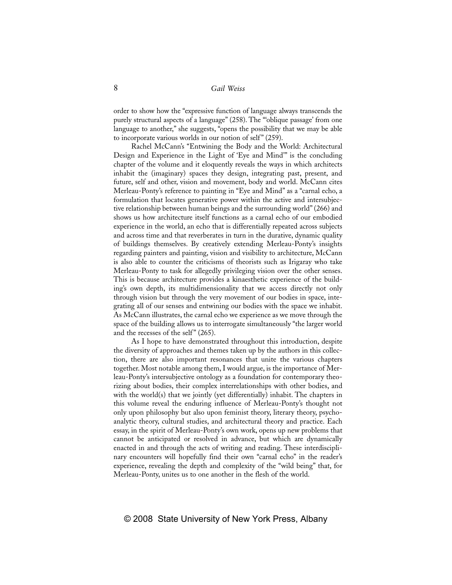order to show how the "expressive function of language always transcends the purely structural aspects of a language" (258). The "'oblique passage' from one language to another," she suggests, "opens the possibility that we may be able to incorporate various worlds in our notion of self " (259).

Rachel McCann's "Entwining the Body and the World: Architectural Design and Experience in the Light of 'Eye and Mind'" is the concluding chapter of the volume and it eloquently reveals the ways in which architects inhabit the (imaginary) spaces they design, integrating past, present, and future, self and other, vision and movement, body and world. McCann cites Merleau-Ponty's reference to painting in "Eye and Mind" as a "carnal echo, a formulation that locates generative power within the active and intersubjective relationship between human beings and the surrounding world" (266) and shows us how architecture itself functions as a carnal echo of our embodied experience in the world, an echo that is differentially repeated across subjects and across time and that reverberates in turn in the durative, dynamic quality of buildings themselves. By creatively extending Merleau-Ponty's insights regarding painters and painting, vision and visibility to architecture, McCann is also able to counter the criticisms of theorists such as Irigaray who take Merleau-Ponty to task for allegedly privileging vision over the other senses. This is because architecture provides a kinaesthetic experience of the building's own depth, its multidimensionality that we access directly not only through vision but through the very movement of our bodies in space, integrating all of our senses and entwining our bodies with the space we inhabit. As McCann illustrates, the carnal echo we experience as we move through the space of the building allows us to interrogate simultaneously "the larger world and the recesses of the self" (265).

As I hope to have demonstrated throughout this introduction, despite the diversity of approaches and themes taken up by the authors in this collection, there are also important resonances that unite the various chapters together. Most notable among them, I would argue, is the importance of Merleau-Ponty's intersubjective ontology as a foundation for contemporary theorizing about bodies, their complex interrelationships with other bodies, and with the world(s) that we jointly (yet differentially) inhabit. The chapters in this volume reveal the enduring influence of Merleau-Ponty's thought not only upon philosophy but also upon feminist theory, literary theory, psychoanalytic theory, cultural studies, and architectural theory and practice. Each essay, in the spirit of Merleau-Ponty's own work, opens up new problems that cannot be anticipated or resolved in advance, but which are dynamically enacted in and through the acts of writing and reading. These interdisciplinary encounters will hopefully find their own "carnal echo" in the reader's experience, revealing the depth and complexity of the "wild being" that, for Merleau-Ponty, unites us to one another in the flesh of the world.